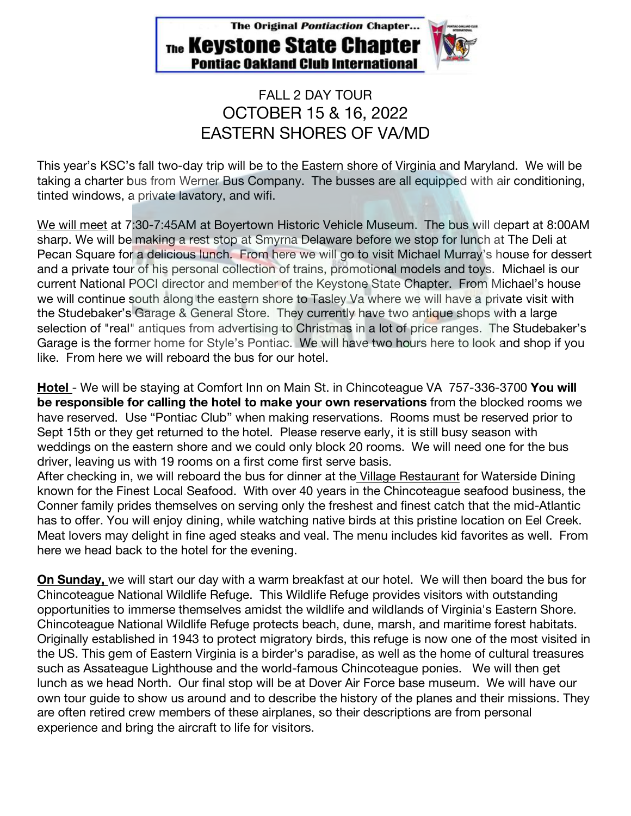The Original Pontiaction Chapter... The **Keystone State Chapter Pontiac Oakland Club International** 

## FALL 2 DAY TOUR OCTOBER 15 & 16, 2022 EASTERN SHORES OF VA/MD

This year's KSC's fall two-day trip will be to the Eastern shore of Virginia and Maryland. We will be taking a charter bus from Werner Bus Company. The busses are all equipped with air conditioning, tinted windows, a private lavatory, and wifi.

We will meet at 7:30-7:45AM at Boyertown Historic Vehicle Museum. The bus will depart at 8:00AM sharp. We will be making a rest stop at Smyrna Delaware before we stop for lunch at The Deli at Pecan Square for a delicious lunch. From here we will go to visit Michael Murray's house for dessert and a private tour of his personal collection of trains, promotional models and toys. Michael is our current National POCI director and member of the Keystone State Chapter. From Michael's house we will continue south along the eastern shore to Tasley Va where we will have a private visit with the Studebaker's Garage & General Store. They currently have two antique shops with a large selection of "real" antiques from advertising to Christmas in a lot of price ranges. The Studebaker's Garage is the former home for Style's Pontiac. We will have two hours here to look and shop if you like. From here we will reboard the bus for our hotel.

**Hotel** - We will be staying at Comfort Inn on Main St. in Chincoteague VA 757-336-3700 **You will be responsible for calling the hotel to make your own reservations** from the blocked rooms we have reserved. Use "Pontiac Club" when making reservations. Rooms must be reserved prior to Sept 15th or they get returned to the hotel. Please reserve early, it is still busy season with weddings on the eastern shore and we could only block 20 rooms. We will need one for the bus driver, leaving us with 19 rooms on a first come first serve basis.

After checking in, we will reboard the bus for dinner at the Village Restaurant for Waterside Dining known for the Finest Local Seafood. With over 40 years in the Chincoteague seafood business, the Conner family prides themselves on serving only the freshest and finest catch that the mid-Atlantic has to offer. You will enjoy dining, while watching native birds at this pristine location on Eel Creek. Meat lovers may delight in fine aged steaks and veal. The menu includes kid favorites as well. From here we head back to the hotel for the evening.

**On Sunday,** we will start our day with a warm breakfast at our hotel. We will then board the bus for Chincoteague National Wildlife Refuge. This Wildlife Refuge provides visitors with outstanding opportunities to immerse themselves amidst the wildlife and wildlands of Virginia's Eastern Shore. Chincoteague National Wildlife Refuge protects beach, dune, marsh, and maritime forest habitats. Originally established in 1943 to protect migratory birds, this refuge is now one of the most visited in the US. This gem of Eastern Virginia is a birder's paradise, as well as the home of cultural treasures such as Assateague Lighthouse and the world-famous Chincoteague ponies. We will then get lunch as we head North. Our final stop will be at Dover Air Force base museum. We will have our own tour guide to show us around and to describe the history of the planes and their missions. They are often retired crew members of these airplanes, so their descriptions are from personal experience and bring the aircraft to life for visitors.